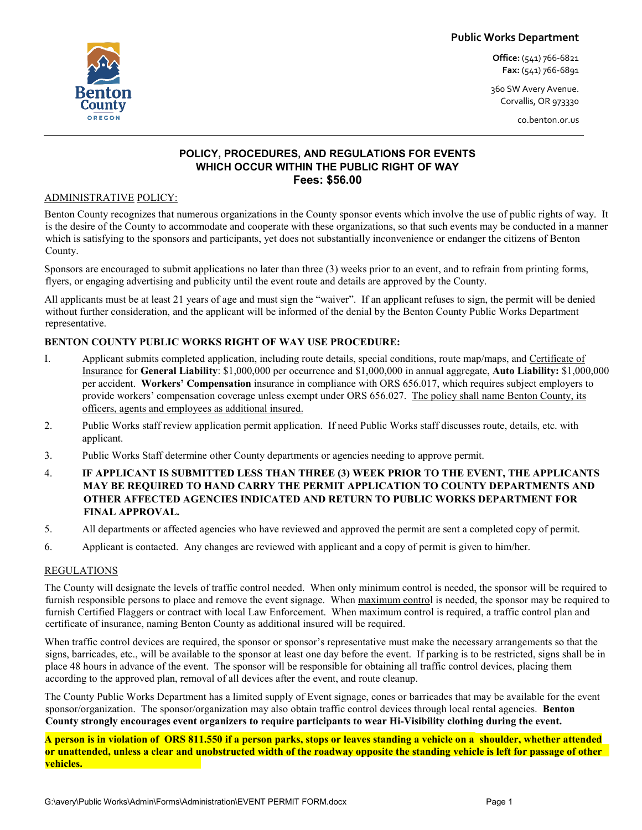**Public Works Department**

**Office:** (541) 766-6821 **Fax:** (541) 766-6891

360 SW Avery Avenue. Corvallis, OR 973330

co.benton.or.us

### **POLICY, PROCEDURES, AND REGULATIONS FOR EVENTS WHICH OCCUR WITHIN THE PUBLIC RIGHT OF WAY Fees: \$56.00**

#### ADMINISTRATIVE POLICY:

Benton County recognizes that numerous organizations in the County sponsor events which involve the use of public rights of way. It is the desire of the County to accommodate and cooperate with these organizations, so that such events may be conducted in a manner which is satisfying to the sponsors and participants, yet does not substantially inconvenience or endanger the citizens of Benton County.

Sponsors are encouraged to submit applications no later than three (3) weeks prior to an event, and to refrain from printing forms, flyers, or engaging advertising and publicity until the event route and details are approved by the County.

All applicants must be at least 21 years of age and must sign the "waiver". If an applicant refuses to sign, the permit will be denied without further consideration, and the applicant will be informed of the denial by the Benton County Public Works Department representative.

#### **BENTON COUNTY PUBLIC WORKS RIGHT OF WAY USE PROCEDURE:**

- I. Applicant submits completed application, including route details, special conditions, route map/maps, and Certificate of Insurance for **General Liability**: \$1,000,000 per occurrence and \$1,000,000 in annual aggregate, **Auto Liability:** \$1,000,000 per accident. **Workers' Compensation** insurance in compliance with ORS 656.017, which requires subject employers to provide workers' compensation coverage unless exempt under ORS 656.027. The policy shall name Benton County, its officers, agents and employees as additional insured.
- 2. Public Works staff review application permit application. If need Public Works staff discusses route, details, etc. with applicant.
- 3. Public Works Staff determine other County departments or agencies needing to approve permit.
- 4. **IF APPLICANT IS SUBMITTED LESS THAN THREE (3) WEEK PRIOR TO THE EVENT, THE APPLICANTS MAY BE REQUIRED TO HAND CARRY THE PERMIT APPLICATION TO COUNTY DEPARTMENTS AND OTHER AFFECTED AGENCIES INDICATED AND RETURN TO PUBLIC WORKS DEPARTMENT FOR FINAL APPROVAL.**
- 5. All departments or affected agencies who have reviewed and approved the permit are sent a completed copy of permit.
- 6. Applicant is contacted. Any changes are reviewed with applicant and a copy of permit is given to him/her.

#### **REGULATIONS**

The County will designate the levels of traffic control needed. When only minimum control is needed, the sponsor will be required to furnish responsible persons to place and remove the event signage. When maximum control is needed, the sponsor may be required to furnish Certified Flaggers or contract with local Law Enforcement. When maximum control is required, a traffic control plan and certificate of insurance, naming Benton County as additional insured will be required.

When traffic control devices are required, the sponsor or sponsor's representative must make the necessary arrangements so that the signs, barricades, etc., will be available to the sponsor at least one day before the event. If parking is to be restricted, signs shall be in place 48 hours in advance of the event. The sponsor will be responsible for obtaining all traffic control devices, placing them according to the approved plan, removal of all devices after the event, and route cleanup.

The County Public Works Department has a limited supply of Event signage, cones or barricades that may be available for the event sponsor/organization. The sponsor/organization may also obtain traffic control devices through local rental agencies. **Benton County strongly encourages event organizers to require participants to wear Hi-Visibility clothing during the event.** 

**A person is in violation of ORS 811.550 if a person parks, stops or leaves standing a vehicle on a shoulder, whether attended or unattended, unless a clear and unobstructed width of the roadway opposite the standing vehicle is left for passage of other vehicles.**

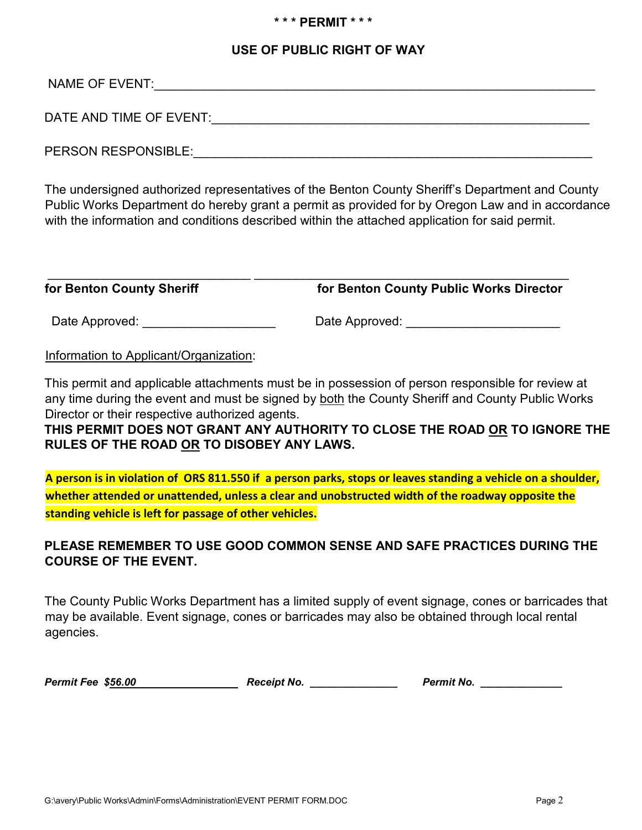## **\* \* \* PERMIT \* \* \***

## **USE OF PUBLIC RIGHT OF WAY**

NAME OF EVENT:

DATE AND TIME OF EVENT: THE RESERVENT OF STRING AND TIME OF EVENT:

PERSON RESPONSIBLE: The state of the state of the state of the state of the state of the state of the state of the state of the state of the state of the state of the state of the state of the state of the state of the sta

The undersigned authorized representatives of the Benton County Sheriff's Department and County Public Works Department do hereby grant a permit as provided for by Oregon Law and in accordance with the information and conditions described within the attached application for said permit.

| for Benton County Sheriff | for Benton County Public Works Director |
|---------------------------|-----------------------------------------|

Date Approved: etc. and a proved: etc. and a Date Approved:  $\Box$ 

Information to Applicant/Organization:

This permit and applicable attachments must be in possession of person responsible for review at any time during the event and must be signed by both the County Sheriff and County Public Works Director or their respective authorized agents.

**THIS PERMIT DOES NOT GRANT ANY AUTHORITY TO CLOSE THE ROAD OR TO IGNORE THE RULES OF THE ROAD OR TO DISOBEY ANY LAWS.** 

**A person is in violation of ORS 811.550 if a person parks, stops or leaves standing a vehicle on a shoulder, whether attended or unattended, unless a clear and unobstructed width of the roadway opposite the standing vehicle is left for passage of other vehicles.**

# **PLEASE REMEMBER TO USE GOOD COMMON SENSE AND SAFE PRACTICES DURING THE COURSE OF THE EVENT.**

The County Public Works Department has a limited supply of event signage, cones or barricades that may be available. Event signage, cones or barricades may also be obtained through local rental agencies.

*Permit Fee \$56.00 Receipt No.* Permit No.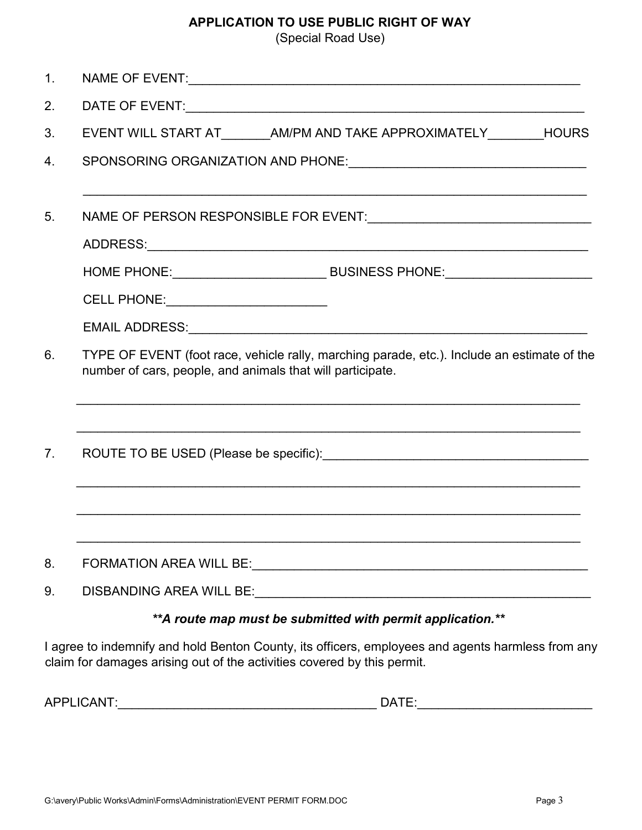# **APPLICATION TO USE PUBLIC RIGHT OF WAY**

(Special Road Use)

| 1 <sub>1</sub>                   |                                                                                                                                                                              |  |  |  |  |  |
|----------------------------------|------------------------------------------------------------------------------------------------------------------------------------------------------------------------------|--|--|--|--|--|
| 2.                               |                                                                                                                                                                              |  |  |  |  |  |
| 3.                               | EVENT WILL START AT ________ AM/PM AND TAKE APPROXIMATELY _________ HOURS                                                                                                    |  |  |  |  |  |
| 4.                               |                                                                                                                                                                              |  |  |  |  |  |
| 5 <sub>1</sub>                   | ,我们也不能在这里的人,我们也不能在这里的人,我们也不能在这里的人,我们也不能在这里的人,我们也不能在这里的人,我们也不能在这里的人,我们也不能在这里的人,我们也                                                                                            |  |  |  |  |  |
|                                  |                                                                                                                                                                              |  |  |  |  |  |
|                                  | HOME PHONE: ___________________________________ BUSINESS PHONE: _________________                                                                                            |  |  |  |  |  |
|                                  | CELL PHONE: _____________________________                                                                                                                                    |  |  |  |  |  |
|                                  |                                                                                                                                                                              |  |  |  |  |  |
| 6.                               | TYPE OF EVENT (foot race, vehicle rally, marching parade, etc.). Include an estimate of the<br>number of cars, people, and animals that will participate.                    |  |  |  |  |  |
| $7_{\scriptscriptstyle{\ddots}}$ |                                                                                                                                                                              |  |  |  |  |  |
|                                  |                                                                                                                                                                              |  |  |  |  |  |
| 8.                               |                                                                                                                                                                              |  |  |  |  |  |
| 9.                               |                                                                                                                                                                              |  |  |  |  |  |
|                                  | ** A route map must be submitted with permit application.**                                                                                                                  |  |  |  |  |  |
|                                  | I agree to indemnify and hold Benton County, its officers, employees and agents harmless from any<br>claim for damages arising out of the activities covered by this permit. |  |  |  |  |  |

| ΔΓ<br>−₩ | ____<br>ın |
|----------|------------|
|          |            |